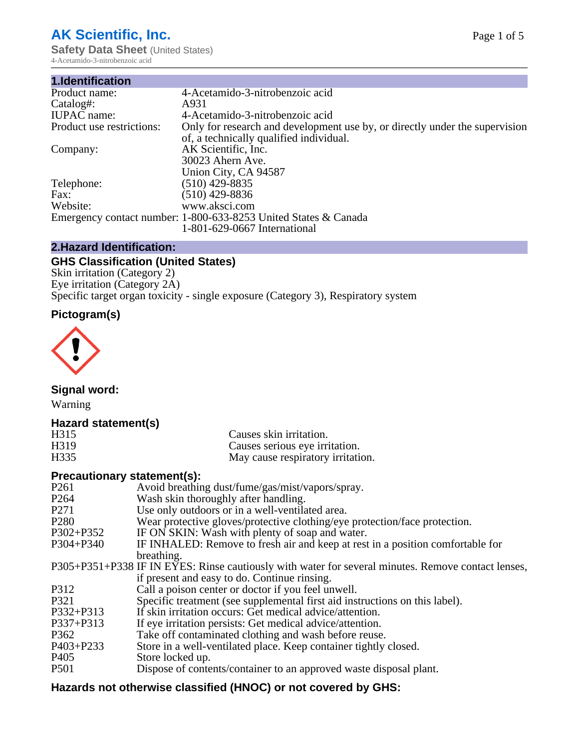# **AK Scientific, Inc.**

**Safety Data Sheet (United States)** 4-Acetamido-3-nitrobenzoic acid

| 1.Identification          |                                                                             |
|---------------------------|-----------------------------------------------------------------------------|
| Product name:             | 4-Acetamido-3-nitrobenzoic acid                                             |
| Catalog#:                 | A931                                                                        |
| <b>IUPAC</b> name:        | 4-Acetamido-3-nitrobenzoic acid                                             |
| Product use restrictions: | Only for research and development use by, or directly under the supervision |
|                           | of, a technically qualified individual.                                     |
| Company:                  | AK Scientific, Inc.                                                         |
|                           | 30023 Ahern Ave.                                                            |
|                           | Union City, CA 94587                                                        |
| Telephone:                | $(510)$ 429-8835                                                            |
| Fax:                      | $(510)$ 429-8836                                                            |
| Website:                  | www.aksci.com                                                               |
|                           | Emergency contact number: 1-800-633-8253 United States & Canada             |
|                           | 1-801-629-0667 International                                                |

# **2.Hazard Identification:**

# **GHS Classification (United States)**

Skin irritation (Category 2) Eye irritation (Category 2A) Specific target organ toxicity - single exposure (Category 3), Respiratory system

# **Pictogram(s)**



**Signal word:**

Warning

# **Hazard statement(s)**

| H315              | Causes skin irritation.           |
|-------------------|-----------------------------------|
| H <sub>3</sub> 19 | Causes serious eye irritation.    |
| H335              | May cause respiratory irritation. |

# **Precautionary statement(s):**

| P <sub>261</sub> | Avoid breathing dust/fume/gas/mist/vapors/spray.                                                   |
|------------------|----------------------------------------------------------------------------------------------------|
| P <sub>264</sub> | Wash skin thoroughly after handling.                                                               |
| P <sub>271</sub> | Use only outdoors or in a well-ventilated area.                                                    |
| P <sub>280</sub> | Wear protective gloves/protective clothing/eye protection/face protection.                         |
| P302+P352        | IF ON SKIN: Wash with plenty of soap and water.                                                    |
| $P304 + P340$    | IF INHALED: Remove to fresh air and keep at rest in a position comfortable for                     |
|                  | breathing.                                                                                         |
|                  | P305+P351+P338 IF IN EYES: Rinse cautiously with water for several minutes. Remove contact lenses, |
|                  | if present and easy to do. Continue rinsing.                                                       |
| P312             | Call a poison center or doctor if you feel unwell.                                                 |
| P321             | Specific treatment (see supplemental first aid instructions on this label).                        |
| P332+P313        | If skin irritation occurs: Get medical advice/attention.                                           |
| P337+P313        | If eye irritation persists: Get medical advice/attention.                                          |
| P362             | Take off contaminated clothing and wash before reuse.                                              |
| P403+P233        | Store in a well-ventilated place. Keep container tightly closed.                                   |
| P <sub>405</sub> | Store locked up.                                                                                   |
| P <sub>501</sub> | Dispose of contents/container to an approved waste disposal plant.                                 |
|                  |                                                                                                    |

# **Hazards not otherwise classified (HNOC) or not covered by GHS:**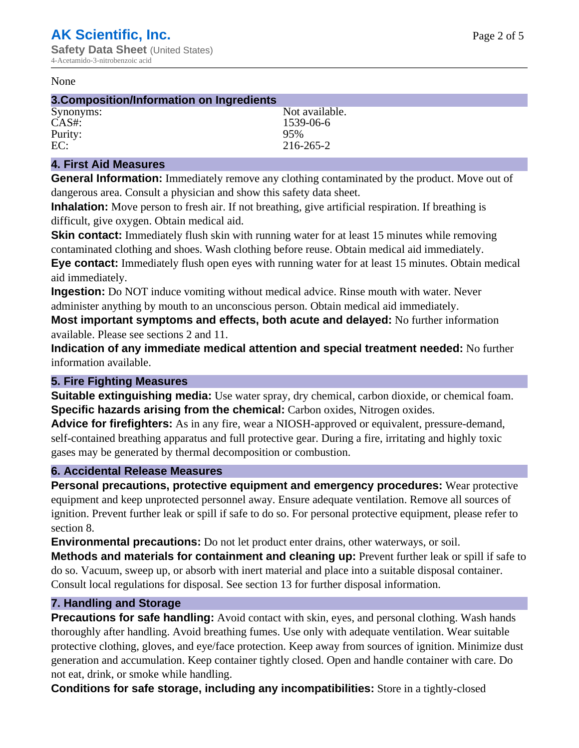#### None

| 3. Composition/Information on Ingredients |                |  |
|-------------------------------------------|----------------|--|
| Synonyms:                                 | Not available. |  |
| CAS#                                      | 1539-06-6      |  |
| Purity:                                   | 95%            |  |
| EC:                                       | 216-265-2      |  |

#### **4. First Aid Measures**

**General Information:** Immediately remove any clothing contaminated by the product. Move out of dangerous area. Consult a physician and show this safety data sheet.

**Inhalation:** Move person to fresh air. If not breathing, give artificial respiration. If breathing is difficult, give oxygen. Obtain medical aid.

**Skin contact:** Immediately flush skin with running water for at least 15 minutes while removing contaminated clothing and shoes. Wash clothing before reuse. Obtain medical aid immediately. **Eye contact:** Immediately flush open eyes with running water for at least 15 minutes. Obtain medical aid immediately.

**Ingestion:** Do NOT induce vomiting without medical advice. Rinse mouth with water. Never administer anything by mouth to an unconscious person. Obtain medical aid immediately.

**Most important symptoms and effects, both acute and delayed:** No further information available. Please see sections 2 and 11.

**Indication of any immediate medical attention and special treatment needed:** No further information available.

#### **5. Fire Fighting Measures**

**Suitable extinguishing media:** Use water spray, dry chemical, carbon dioxide, or chemical foam. **Specific hazards arising from the chemical:** Carbon oxides, Nitrogen oxides.

**Advice for firefighters:** As in any fire, wear a NIOSH-approved or equivalent, pressure-demand, self-contained breathing apparatus and full protective gear. During a fire, irritating and highly toxic gases may be generated by thermal decomposition or combustion.

# **6. Accidental Release Measures**

**Personal precautions, protective equipment and emergency procedures:** Wear protective equipment and keep unprotected personnel away. Ensure adequate ventilation. Remove all sources of ignition. Prevent further leak or spill if safe to do so. For personal protective equipment, please refer to section 8.

**Environmental precautions:** Do not let product enter drains, other waterways, or soil.

**Methods and materials for containment and cleaning up:** Prevent further leak or spill if safe to do so. Vacuum, sweep up, or absorb with inert material and place into a suitable disposal container. Consult local regulations for disposal. See section 13 for further disposal information.

#### **7. Handling and Storage**

**Precautions for safe handling:** Avoid contact with skin, eyes, and personal clothing. Wash hands thoroughly after handling. Avoid breathing fumes. Use only with adequate ventilation. Wear suitable protective clothing, gloves, and eye/face protection. Keep away from sources of ignition. Minimize dust generation and accumulation. Keep container tightly closed. Open and handle container with care. Do not eat, drink, or smoke while handling.

**Conditions for safe storage, including any incompatibilities:** Store in a tightly-closed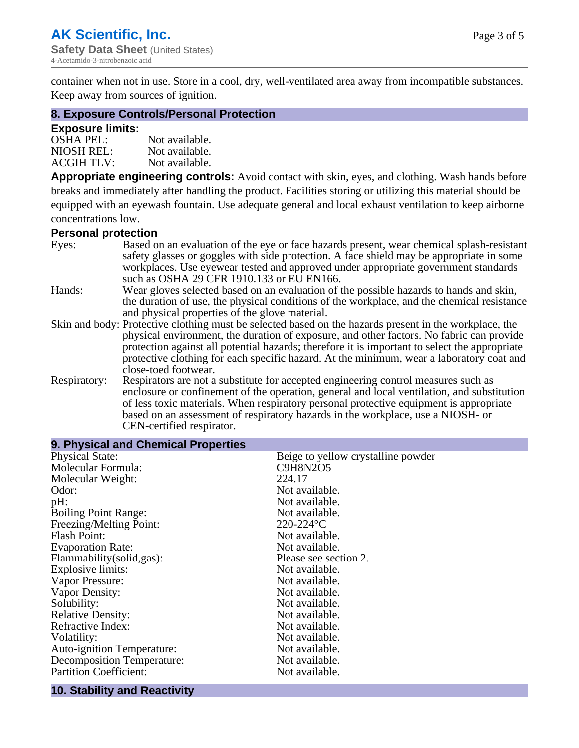container when not in use. Store in a cool, dry, well-ventilated area away from incompatible substances. Keep away from sources of ignition.

#### **8. Exposure Controls/Personal Protection**

#### **Exposure limits:**

| <b>OSHA PEL:</b>  | Not available. |
|-------------------|----------------|
| NIOSH REL:        | Not available. |
| <b>ACGIH TLV:</b> | Not available. |

**Appropriate engineering controls:** Avoid contact with skin, eyes, and clothing. Wash hands before breaks and immediately after handling the product. Facilities storing or utilizing this material should be equipped with an eyewash fountain. Use adequate general and local exhaust ventilation to keep airborne concentrations low.

#### **Personal protection**

| Eyes:        | Based on an evaluation of the eye or face hazards present, wear chemical splash-resistant<br>safety glasses or goggles with side protection. A face shield may be appropriate in some |
|--------------|---------------------------------------------------------------------------------------------------------------------------------------------------------------------------------------|
|              | workplaces. Use eyewear tested and approved under appropriate government standards<br>such as OSHA 29 CFR 1910.133 or EU EN166.                                                       |
| Hands:       | Wear gloves selected based on an evaluation of the possible hazards to hands and skin,                                                                                                |
|              | the duration of use, the physical conditions of the workplace, and the chemical resistance                                                                                            |
|              | and physical properties of the glove material.                                                                                                                                        |
|              | Skin and body: Protective clothing must be selected based on the hazards present in the workplace, the                                                                                |
|              | physical environment, the duration of exposure, and other factors. No fabric can provide                                                                                              |
|              | protection against all potential hazards; therefore it is important to select the appropriate                                                                                         |
|              | protective clothing for each specific hazard. At the minimum, wear a laboratory coat and                                                                                              |
|              | close-toed footwear.                                                                                                                                                                  |
| Respiratory: | Respirators are not a substitute for accepted engineering control measures such as<br>enclosure or confinement of the operation, general and local ventilation, and substitution      |
|              | of less toxic materials. When respiratory personal protective equipment is appropriate                                                                                                |
|              | based on an assessment of respiratory hazards in the workplace, use a NIOSH- or                                                                                                       |
|              | CEN-certified respirator.                                                                                                                                                             |

| 9. Physical and Chemical Properties                          |                                    |
|--------------------------------------------------------------|------------------------------------|
| <b>Physical State:</b>                                       | Beige to yellow crystalline powder |
| Molecular Formula:                                           | C9H8N2O5                           |
| Molecular Weight:                                            | 224.17                             |
| Odor:                                                        | Not available.                     |
| $pH$ :                                                       | Not available.                     |
| <b>Boiling Point Range:</b>                                  | Not available.                     |
| Freezing/Melting Point:                                      | $220 - 224$ °C                     |
| Flash Point:                                                 | Not available.                     |
| <b>Evaporation Rate:</b>                                     | Not available.                     |
| Flammability(solid,gas):                                     | Please see section 2.              |
| Explosive limits:                                            | Not available.                     |
| Vapor Pressure:                                              | Not available.                     |
| Vapor Density:                                               | Not available.                     |
| Solubility:                                                  | Not available.                     |
| <b>Relative Density:</b>                                     | Not available.                     |
| Refractive Index:                                            | Not available.                     |
| Volatility:                                                  | Not available.                     |
| Auto-ignition Temperature:                                   | Not available.                     |
| Decomposition Temperature:                                   | Not available.                     |
| <b>Partition Coefficient:</b>                                | Not available.                     |
| <b><i>Allen Allen Andrew</i></b><br><b>Contract Contract</b> |                                    |

#### **10. Stability and Reactivity**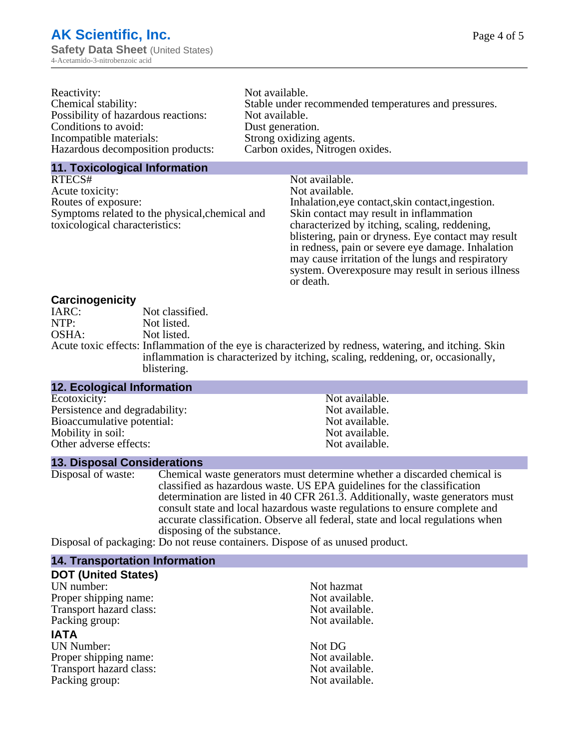| Reactivity:                         | Not available.                                       |
|-------------------------------------|------------------------------------------------------|
| Chemical stability:                 | Stable under recommended temperatures and pressures. |
| Possibility of hazardous reactions: | Not available.                                       |
| Conditions to avoid:                | Dust generation.                                     |
| Incompatible materials:             | Strong oxidizing agents.                             |
| Hazardous decomposition products:   | Carbon oxides, Nitrogen oxides.                      |
|                                     |                                                      |

#### **11. Toxicological Information**

| RTECS#                                         | Not available.                                      |
|------------------------------------------------|-----------------------------------------------------|
| Acute toxicity:                                | Not available.                                      |
| Routes of exposure:                            | Inhalation, eye contact, skin contact, ingestion.   |
| Symptoms related to the physical, chemical and | Skin contact may result in inflammation             |
| toxicological characteristics:                 | characterized by itching, scaling, reddening,       |
|                                                | blistering, pain or dryness. Eye contact may result |
|                                                | in redness, pain or severe eye damage. Inhalation   |
|                                                | may cause irritation of the lungs and respiratory   |
|                                                | system. Overexposure may result in serious illness  |

or death.

#### **Carcinogenicity**

| IARC: | Not classified.                                                                                       |
|-------|-------------------------------------------------------------------------------------------------------|
| NTP:  | Not listed.                                                                                           |
| OSHA: | Not listed.                                                                                           |
|       | Acute toxic effects: Inflammation of the eye is characterized by redness, watering, and itching. Skin |
|       | inflammation is characterized by itching, scaling, reddening, or, occasionally,                       |
|       | blistering.                                                                                           |

| <b>12. Ecological Information</b> |                |  |
|-----------------------------------|----------------|--|
| Ecotoxicity:                      | Not available. |  |
| Persistence and degradability:    | Not available. |  |
| Bioaccumulative potential:        | Not available. |  |
| Mobility in soil:                 | Not available. |  |
| Other adverse effects:            | Not available. |  |

#### **13. Disposal Considerations**

Disposal of waste: Chemical waste generators must determine whether a discarded chemical is classified as hazardous waste. US EPA guidelines for the classification determination are listed in 40 CFR 261.3. Additionally, waste generators must consult state and local hazardous waste regulations to ensure complete and accurate classification. Observe all federal, state and local regulations when disposing of the substance.

Disposal of packaging: Do not reuse containers. Dispose of as unused product.

| <b>14. Transportation Information</b> |                |
|---------------------------------------|----------------|
| <b>DOT (United States)</b>            |                |
| UN number:                            | Not hazmat     |
| Proper shipping name:                 | Not available. |
| Transport hazard class:               | Not available. |
| Packing group:                        | Not available. |
| <b>IATA</b>                           |                |
| <b>UN Number:</b>                     | Not DG         |
| Proper shipping name:                 | Not available. |
| Transport hazard class:               | Not available. |
| Packing group:                        | Not available. |